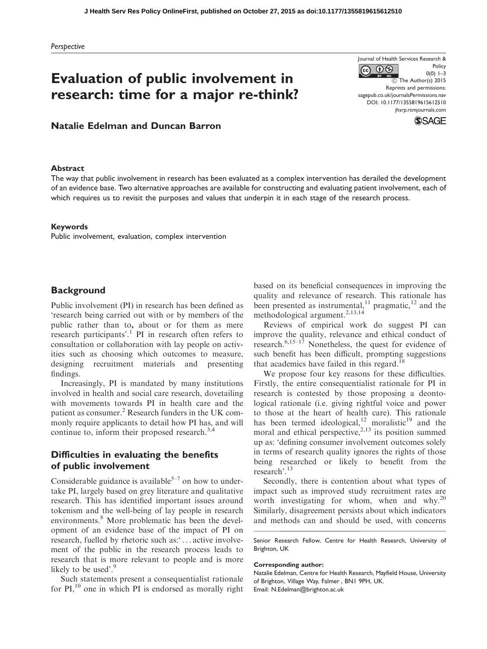# Evaluation of public involvement in research: time for a major re-think?

Natalie Edelman and Duncan Barron

#### Abstract

Journal of Health Services Research & Policy  $\odot$  $0(0)$  1–3

 $\overline{\odot}$  The Author(s) 2015 Reprints and permissions: sagepub.co.uk/journalsPermissions.nav DOI: 10.1177/1355819615612510 jhsrp.rsmjournals.com



The way that public involvement in research has been evaluated as a complex intervention has derailed the development of an evidence base. Two alternative approaches are available for constructing and evaluating patient involvement, each of which requires us to revisit the purposes and values that underpin it in each stage of the research process.

#### Keywords

Public involvement, evaluation, complex intervention

### **Background**

Public involvement (PI) in research has been defined as 'research being carried out with or by members of the public rather than to, about or for them as mere research participants'.<sup>1</sup> PI in research often refers to consultation or collaboration with lay people on activities such as choosing which outcomes to measure, designing recruitment materials and presenting findings.

Increasingly, PI is mandated by many institutions involved in health and social care research, dovetailing with movements towards PI in health care and the patient as consumer. $<sup>2</sup>$  Research funders in the UK com-</sup> monly require applicants to detail how PI has, and will continue to, inform their proposed research.<sup>3,4</sup>

# Difficulties in evaluating the benefits of public involvement

Considerable guidance is available<sup>5–7</sup> on how to undertake PI, largely based on grey literature and qualitative research. This has identified important issues around tokenism and the well-being of lay people in research environments.<sup>8</sup> More problematic has been the development of an evidence base of the impact of PI on research, fuelled by rhetoric such as:' ... active involvement of the public in the research process leads to research that is more relevant to people and is more likely to be used'.<sup>9</sup>

Such statements present a consequentialist rationale for  $\text{PI}$ ,<sup>10</sup> one in which PI is endorsed as morally right based on its beneficial consequences in improving the quality and relevance of research. This rationale has been presented as instrumental,<sup>11</sup> pragmatic,<sup>12</sup> and the methodological argument.<sup>2,13,14</sup>

Reviews of empirical work do suggest PI can improve the quality, relevance and ethical conduct of research. $6,15-17$  Nonetheless, the quest for evidence of such benefit has been difficult, prompting suggestions that academics have failed in this regard.<sup>18</sup>

We propose four key reasons for these difficulties. Firstly, the entire consequentialist rationale for PI in research is contested by those proposing a deontological rationale (i.e. giving rightful voice and power to those at the heart of health care). This rationale has been termed ideological, $12 \text{ moralistic}^{19}$  and the moral and ethical perspective, $^{2,13}$  its position summed up as: 'defining consumer involvement outcomes solely in terms of research quality ignores the rights of those being researched or likely to benefit from the research'.<sup>13</sup>

Secondly, there is contention about what types of impact such as improved study recruitment rates are worth investigating for whom, when and why.<sup>20</sup> Similarly, disagreement persists about which indicators and methods can and should be used, with concerns

Senior Research Fellow, Centre for Health Research, University of Brighton, UK

#### Corresponding author:

Natalie Edelman, Centre for Health Research, Mayfield House, University of Brighton, Village Way, Falmer , BN1 9PH, UK. Email: N.Edelman@brighton.ac.uk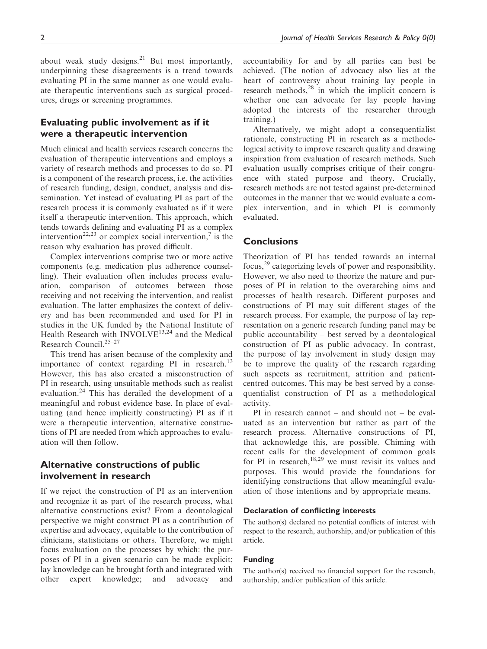about weak study designs. $^{21}$  But most importantly, underpinning these disagreements is a trend towards evaluating PI in the same manner as one would evaluate therapeutic interventions such as surgical procedures, drugs or screening programmes.

### Evaluating public involvement as if it were a therapeutic intervention

Much clinical and health services research concerns the evaluation of therapeutic interventions and employs a variety of research methods and processes to do so. PI is a component of the research process, i.e. the activities of research funding, design, conduct, analysis and dissemination. Yet instead of evaluating PI as part of the research process it is commonly evaluated as if it were itself a therapeutic intervention. This approach, which tends towards defining and evaluating PI as a complex intervention<sup>22,23</sup> or complex social intervention,<sup>7</sup> is the reason why evaluation has proved difficult.

Complex interventions comprise two or more active components (e.g. medication plus adherence counselling). Their evaluation often includes process evaluation, comparison of outcomes between those receiving and not receiving the intervention, and realist evaluation. The latter emphasizes the context of delivery and has been recommended and used for PI in studies in the UK funded by the National Institute of Health Research with INVOLVE<sup>13,24</sup> and the Medical Research Council.25–27

This trend has arisen because of the complexity and importance of context regarding PI in research.<sup>13</sup> However, this has also created a misconstruction of PI in research, using unsuitable methods such as realist evaluation.<sup>24</sup> This has derailed the development of a meaningful and robust evidence base. In place of evaluating (and hence implicitly constructing) PI as if it were a therapeutic intervention, alternative constructions of PI are needed from which approaches to evaluation will then follow.

# Alternative constructions of public involvement in research

If we reject the construction of PI as an intervention and recognize it as part of the research process, what alternative constructions exist? From a deontological perspective we might construct PI as a contribution of expertise and advocacy, equitable to the contribution of clinicians, statisticians or others. Therefore, we might focus evaluation on the processes by which: the purposes of PI in a given scenario can be made explicit; lay knowledge can be brought forth and integrated with other expert knowledge; and advocacy and accountability for and by all parties can best be achieved. (The notion of advocacy also lies at the heart of controversy about training lay people in research methods,<sup>28</sup> in which the implicit concern is whether one can advocate for lay people having adopted the interests of the researcher through training.)

Alternatively, we might adopt a consequentialist rationale, constructing PI in research as a methodological activity to improve research quality and drawing inspiration from evaluation of research methods. Such evaluation usually comprises critique of their congruence with stated purpose and theory. Crucially, research methods are not tested against pre-determined outcomes in the manner that we would evaluate a complex intervention, and in which PI is commonly evaluated.

## **Conclusions**

Theorization of PI has tended towards an internal focus,<sup>29</sup> categorizing levels of power and responsibility. However, we also need to theorize the nature and purposes of PI in relation to the overarching aims and processes of health research. Different purposes and constructions of PI may suit different stages of the research process. For example, the purpose of lay representation on a generic research funding panel may be public accountability – best served by a deontological construction of PI as public advocacy. In contrast, the purpose of lay involvement in study design may be to improve the quality of the research regarding such aspects as recruitment, attrition and patientcentred outcomes. This may be best served by a consequentialist construction of PI as a methodological activity.

PI in research cannot – and should not – be evaluated as an intervention but rather as part of the research process. Alternative constructions of PI, that acknowledge this, are possible. Chiming with recent calls for the development of common goals for PI in research, $18,29$  we must revisit its values and purposes. This would provide the foundations for identifying constructions that allow meaningful evaluation of those intentions and by appropriate means.

### Declaration of conflicting interests

The author(s) declared no potential conflicts of interest with respect to the research, authorship, and/or publication of this article.

#### Funding

The author(s) received no financial support for the research, authorship, and/or publication of this article.